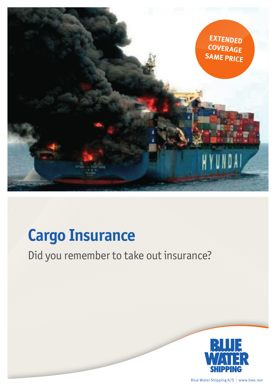

## **Cargo Insurance**

Did you remember to take out insurance?



Blue Water Shipping A/S | www.bws.net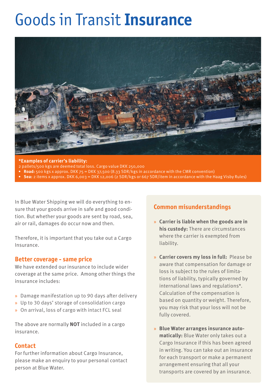# Goods in Transit **Insurance**



#### **\*Examples of carrier's liability:**

- 2 pallets/500 kgs are deemed total loss. Cargo value DKK 250,000
- **• Road:** 500 kgs x approx. DKK 75 = DKK 37,500 (8.33 SDR/kgs in accordance with the CMR convention)
- **• Sea:** 2 items x approx. DKK 6,003 = DKK 12,006 (2 SDR/kgs or 667 SDR/item in accordance with the Haag Visby Rules)

In Blue Water Shipping we will do everything to ensure that your goods arrive in safe and good condition. But whether your goods are sent by road, sea, air or rail, damages do occur now and then.

Therefore, it is important that you take out a Cargo Insurance.

#### **Better coverage - same price**

We have extended our insurance to include wider coverage at the same price. Among other things the insurance includes:

- » Damage manifestation up to 90 days after delivery
- » Up to 30 days' storage of consolidation cargo
- » On arrival, loss of cargo with intact FCL seal

The above are normally **NOT** included in a cargo insurance.

#### **Contact**

For further information about Cargo Insurance, please make an enquiry to your personal contact person at Blue Water.

### **Common misunderstandings**

- » **Carrier is liable when the goods are in his custody:** There are circumstances where the carrier is exempted from liability.
- » **Carrier covers my loss in full:** Please be aware that compensation for damage or loss is subject to the rules of limitations of liability, typically governed by international laws and regulations\*. Calculation of the compensation is based on quantity or weight. Therefore, you may risk that your loss will not be fully covered.
- » **Blue Water arranges insurance automatically:** Blue Water only takes out a Cargo Insurance if this has been agreed in writing. You can take out an insurance for each transport or make a permanent arrangement ensuring that all your transports are covered by an insurance.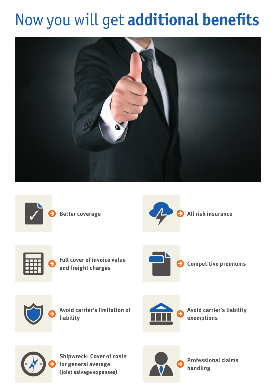# Now you will get **additional benefits**









**Full cover of invoice value**  Full cover of invoice value<br>and freight charges





**Avoid carrier's limitation of liability** 



**Avoid carrier's liability exemptions**



**Shipwreck: Cover of costs for general average (joint salvage expenses)**



**Professional claims handling**